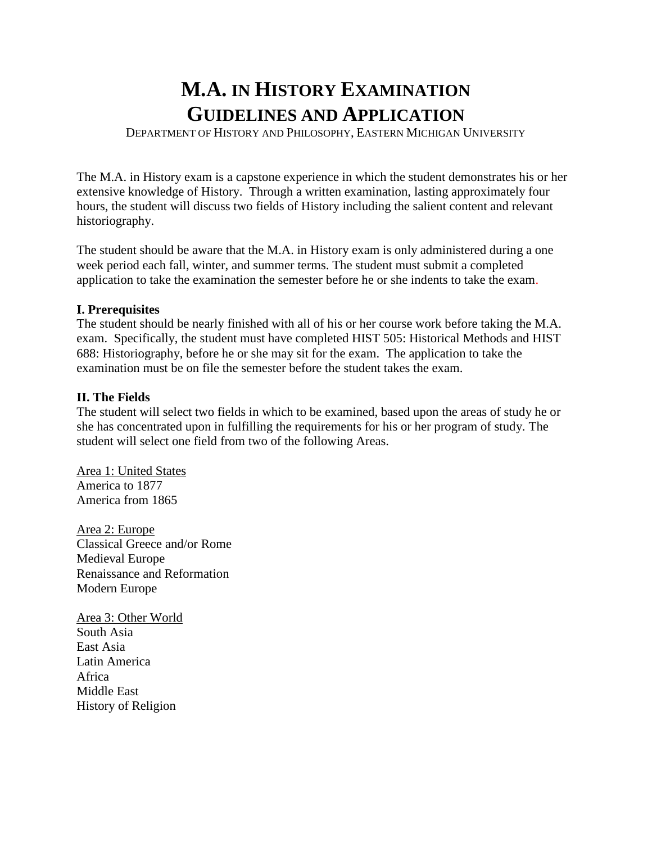# **M.A. IN HISTORY EXAMINATION GUIDELINES AND APPLICATION**

DEPARTMENT OF HISTORY AND PHILOSOPHY, EASTERN MICHIGAN UNIVERSITY

The M.A. in History exam is a capstone experience in which the student demonstrates his or her extensive knowledge of History. Through a written examination, lasting approximately four hours, the student will discuss two fields of History including the salient content and relevant historiography.

The student should be aware that the M.A. in History exam is only administered during a one week period each fall, winter, and summer terms. The student must submit a completed application to take the examination the semester before he or she indents to take the exam.

## **I. Prerequisites**

The student should be nearly finished with all of his or her course work before taking the M.A. exam. Specifically, the student must have completed HIST 505: Historical Methods and HIST 688: Historiography, before he or she may sit for the exam. The application to take the examination must be on file the semester before the student takes the exam.

## **II. The Fields**

The student will select two fields in which to be examined, based upon the areas of study he or she has concentrated upon in fulfilling the requirements for his or her program of study. The student will select one field from two of the following Areas.

Area 1: United States America to 1877 America from 1865

Area 2: Europe Classical Greece and/or Rome Medieval Europe Renaissance and Reformation Modern Europe

Area 3: Other World South Asia East Asia Latin America Africa Middle East History of Religion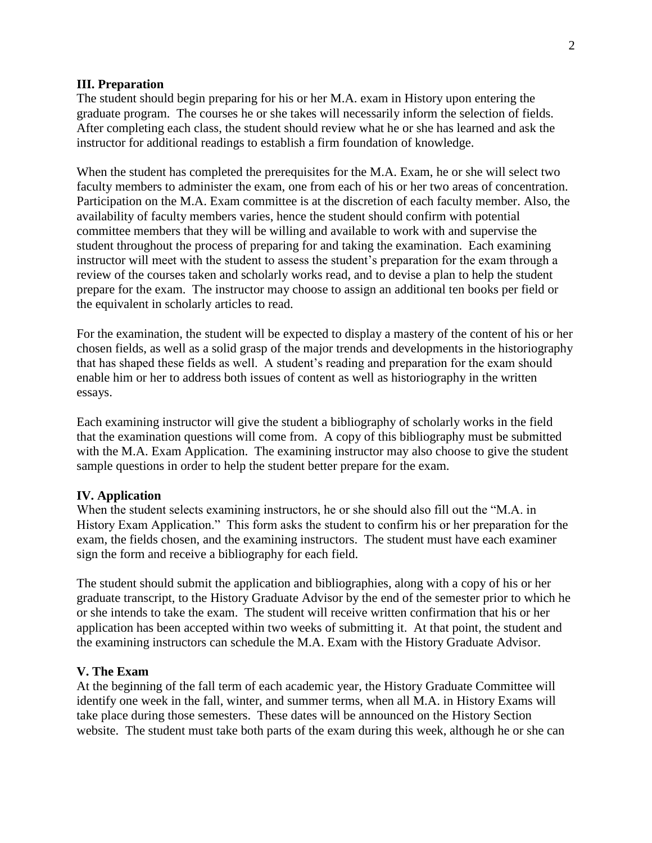#### **III. Preparation**

The student should begin preparing for his or her M.A. exam in History upon entering the graduate program. The courses he or she takes will necessarily inform the selection of fields. After completing each class, the student should review what he or she has learned and ask the instructor for additional readings to establish a firm foundation of knowledge.

When the student has completed the prerequisites for the M.A. Exam, he or she will select two faculty members to administer the exam, one from each of his or her two areas of concentration. Participation on the M.A. Exam committee is at the discretion of each faculty member. Also, the availability of faculty members varies, hence the student should confirm with potential committee members that they will be willing and available to work with and supervise the student throughout the process of preparing for and taking the examination. Each examining instructor will meet with the student to assess the student's preparation for the exam through a review of the courses taken and scholarly works read, and to devise a plan to help the student prepare for the exam. The instructor may choose to assign an additional ten books per field or the equivalent in scholarly articles to read.

For the examination, the student will be expected to display a mastery of the content of his or her chosen fields, as well as a solid grasp of the major trends and developments in the historiography that has shaped these fields as well. A student's reading and preparation for the exam should enable him or her to address both issues of content as well as historiography in the written essays.

Each examining instructor will give the student a bibliography of scholarly works in the field that the examination questions will come from. A copy of this bibliography must be submitted with the M.A. Exam Application. The examining instructor may also choose to give the student sample questions in order to help the student better prepare for the exam.

### **IV. Application**

When the student selects examining instructors, he or she should also fill out the "M.A. in History Exam Application." This form asks the student to confirm his or her preparation for the exam, the fields chosen, and the examining instructors. The student must have each examiner sign the form and receive a bibliography for each field.

The student should submit the application and bibliographies, along with a copy of his or her graduate transcript, to the History Graduate Advisor by the end of the semester prior to which he or she intends to take the exam. The student will receive written confirmation that his or her application has been accepted within two weeks of submitting it. At that point, the student and the examining instructors can schedule the M.A. Exam with the History Graduate Advisor.

#### **V. The Exam**

At the beginning of the fall term of each academic year, the History Graduate Committee will identify one week in the fall, winter, and summer terms, when all M.A. in History Exams will take place during those semesters. These dates will be announced on the History Section website. The student must take both parts of the exam during this week, although he or she can